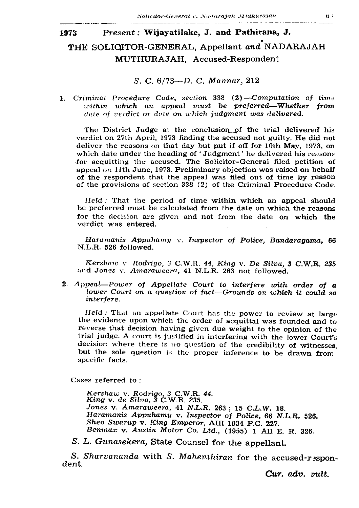## 1973 Present: Wijayatilake, J. and Pathirana, J.

## THE SOLICITOR-GENERAL, Appellant and NADARAJAH MUTHURAJAH, Accused-Respondent

S. C. 6/73— D. C. *Mannar,* 212

1. *Criminal Procedure Code, section* 338 (2*) —Computation of time within which an appeal must be preferred—Whether from date of verdict or dale on which judgment was delivered.*

The District Judge at the conclusion\_\_pf the trial delivered his verdict on 27th April, 1973 finding the accused not guilty. He did not deliver the reasons on that day but put if off for 10th May, 1973, on which date under the heading of 'Judgment' he delivered his reasons for acquitting the accused. The Solicitor-General filed petition of appeal on 11th June, 1973. Preliminary objection was raised on behalf of the respondent that the appeal was filed out of time by reason of the provisions of section 338 *(2)* of the Criminal Procedure Code.

*Held :* That the period of time within which an appeal should be preferred must be calculated from the date on which the reasons for the decision are given and not from the date on which the verdict was entered.

*Haramanis Appuhamy* v. *Inspector of Police, Bandaragama,* 66 N.L.R. 526 followed.

*Kershaw* v. *Rodrigo, 3* C.W.R. *44, King* v. *De Silva, 3* C.W.R. *235* and *Jones* v. *Amaraweera.* 41 N.L.R. 263 not followed.

2. *Appeal—Power of Appellate Court to interfere with order of a lower Court on a question of fact—Grounds on which it could so interfere.*

*Held :* That an appellate Court has the power to review at large the evidence upon which the order of acquittal was founded and to reverse that decision having given due weight to the opinion of the trial judge. A court is justified in interfering with the lower Court's decision where there is no question of the credibility of witnesses, but the sole question is the proper inference to be drawn from specific facts.

Cases referred to :

*Kershaw* v. *Rodrigo, 3* C.W.R. *44. King* v. *de Silva, 3* C.W.R. *235. Jones* v. *Amaraweera,* 41 *N.L.R.* 263 ; 15 C.L.W. 18. *Haramanis Appuhamy* v. *Inspector of Police,* 66 *N.L.R.* 526. *Sheo Swarup* v. *King Emperor,* AIR 1934 P.C. 227. *Benmax* v. *Austin Motor Co. Ltd.,* (1955) 1 All E. R. 326.

S. L. Gunasekera, State Counsel for the appellant.

*S . Sharvananda* with *S. M ahenthiran* for the accused-respondent.

Cur. *adv. vult.*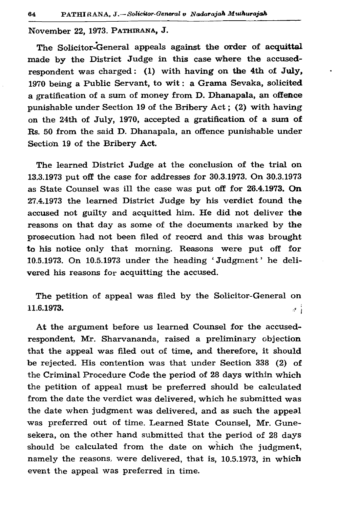November 22, 1973. PATHIRANA, J.

The Solicitor-General appeals against the order of acquittal made by the District Judge in this case where the accusedrespondent was charged: (1) with having on the 4th of July, 1970 being a Public Servant, to wit : a Grama Sevaka, solicited a gratification of a sum of money from D. Dhanapala, an offence punishable under Section 19 of the Bribery Act; (2) with having on the 24th of July, 1970, accepted a gratification of a sum of Rs. 50 from the said D. Dhanapala, an offence punishable under Section 19 of the Bribery Act.

The learned District Judge at the conclusion of the trial on 13.3.1973 put off the case for addresses for 30.3.1973. On 30.3.1973 as State Counsel was ill the case was put off for 26.4.1973. On 27.4.1973 the learned District Judge by his verdict found the accused not guilty and acquitted him. He did not deliver the reasons on that day as some of the documents marked by the prosecution had not been filed of reocrd and this was brought to his notice only that morning. Reasons were put off for 10.5.1973. On 10.5.1973 under the heading ' Judgment ' he delivered his reasons for acquitting the accused.

The petition of appeal was filed by the Solicitor-General on **11.6.1973.**  $\begin{bmatrix} a & b \\ c & d \end{bmatrix}$ 

At the argument before us learned Counsel for the accusedrespondent, Mr. Sharvananda, raised a preliminary objection that the appeal was filed out of time, and therefore, it should be rejected. His contention was that under Section 338 (2) of the Criminal Procedure Code the period of 28 days within which the petition of appeal must be preferred should be calculated from the date the verdict was delivered, which he submitted was the date when judgment was delivered, and as such the appeal was preferred out of time. Learned State Counsel, Mr. Gunesekera, on the other hand submitted that the period of 28 days should be calculated from the date on which the judgment, namely the reasons, were delivered, that is, 10.5.1973, in which event the appeal was preferred in time.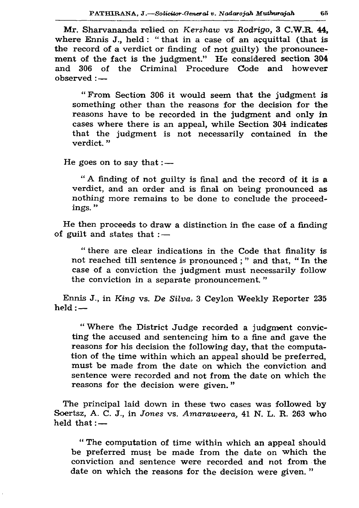Mr. Sharvananda relied on *Kershaw* vs *Rodrigo*, 3 C.W.R. 44, where Ennis J., held : "that in a case of an acquittal (that is the record of a verdict or finding of not guilty) the pronouncement of the fact is the judgment." He considered section 304 and 306 of the Criminal Procedure Code and however observed : —

" From Section 306 it would seem that the judgment is something other than the reasons for the decision for the reasons have to be recorded in the judgment and only in cases where there is an appeal, while Section 304 indicates that the judgment is not necessarily contained in the verdict. "

He goes on to say that  $:$   $-$ 

" A finding of not guilty is final and the record of it is a verdict, and an order and is final on being pronounced as nothing more remains to be done to conclude the proceedings. "

He then proceeds to draw a distinction in the case of a finding of guilt and states that  $:$   $-$ 

" there are clear indications in the Code that finality is not reached till sentence is pronounced; " and that, " In the case of a conviction the judgment must necessarily follow the conviction in a separate pronouncement. "

Ennis J., in *King vs. De Silva*, 3 Ceylon Weekly Reporter 235  $held :=$ 

" Where the District Judge recorded a judgment convicting the accused and sentencing him to a fine and gave the reasons for his decision the following day, that the computation of the time within which an appeal should be preferred, must be made from the date on which the conviction and sentence were recorded and not from the date on which the reasons for the decision were given."

The principal laid down in these two cases was followed by Soertsz, A. C. J., in *Jones* vs. *Amaraweera*, 41 N. L. R. 263 who held that: $-$ 

" The computation of time within which an appeal should be preferred must be made from the date on which the conviction and sentence were recorded and not from the date on which the reasons for the decision were given. "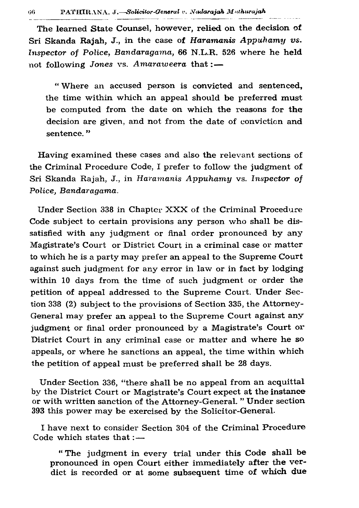06

The learned State Counsel, however, relied on the decision of Sri Skanda Rajah, J., in the case of *Haramanis Appuhamy vs. Inspector of Police, Bandaragama, 66 N.L.R. 526 where he held* not following *Jones* vs. *Amaraweera* that :—

" Where an accused person is convicted and sentenced, the time within which an appeal should be preferred must be computed from the date on which the reasons for the decision are given, and not from the date of conviction and sentence."

Having examined these cases and also the relevant sections of the Criminal Procedure Code, I prefer to follow the judgment of Sri Skanda Rajah, J., in *Haramanis Appuhamy* vs. Inspector of *Police, Bandaragama.*

Under Section 338 in Chapter XXX of the Criminal Procedure Code subject to certain provisions any person who shall be dissatisfied with any judgment or final order pronounced by any Magistrate's Court or District Court in a criminal case or matter to which he is a party may prefer an appeal to the Supreme Court against such judgment for any error in law or in fact by lodging within 10 days from the time of such judgment or order the petition of appeal addressed to the Supreme Court. Under Section 338 (2) subject to the provisions of Section 335, the Attorney-General may prefer an appeal to the Supreme Court against any judgment or final order pronounced by a Magistrate's Court or District Court in any criminal case or matter and where he so appeals, or where he sanctions an appeal, the time within which the petition of appeal must be preferred shall be 28 days.

Under Section 336, "there shall be no appeal from an acquittal by the District Court or Magistrate's Court expect at the instance or with written sanction of the Attorney-General. " Under section 393 this power may be exercised by the Solicitor-General.

I have next to consider Section 304 of the Criminal Procedure Code which states that  $:$   $-$ 

" The judgment in every trial under this Code shall be pronounced in open Court either immediately after the verdict is recorded or at some subsequent time of which due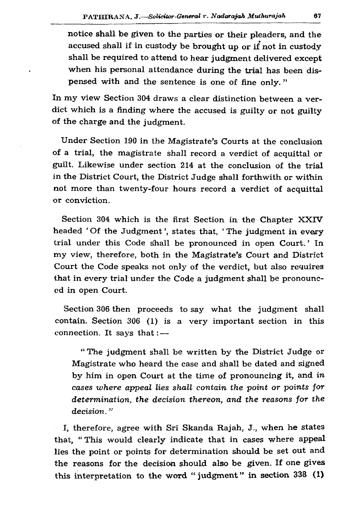notice shall be given to the parties or their pleaders, and the accused shall if in custody be brought up or if not in custody shall be required to attend to hear judgment delivered except when his personal attendance during the trial has been dispensed with and the sentence is one of fine only."

In my view Section 304 draws a clear distinction between a verdict which is a finding where the accused is guilty or not guilty of the charge and the judgment.

Under Section 190 in the Magistrate's Courts at the conclusion of a trial, the magistrate shall record a verdict of acquittal or guilt. Likewise under section 214 at the conclusion of the trial in the District Court, the District Judge shall forthwith or within not more than twenty-four hours record a verdict of acquittal or conviction.

Section 304 which is the first Section in the Chapter XXIV headed 'Of the Judgment', states that, 'The judgment in every trial under this Code shall be pronounced in open Court. ' In my view, therefore, both in the Magistrate's Court and District Court the Code speaks not only of the verdict, but also requires that in every trial under the Code a judgment shall be pronounced in open Court.

Section 306 then proceeds to say what the judgment shall contain. Section 306 (1) is a very important section in this connection. It says that  $:$   $-$ 

" The judgment shall be written by the District Judge or Magistrate who heard the case and shall be dated and signed by him in open Court at the time of pronouncing it, and *in cases where appeal lies shall contain the point or points for determination, the decision thereon, and the reasons for the decision.*

I, therefore, agree with Sri Skanda Rajah, J., when he states that, " This would clearly indicate that in cases where appeal lies the point or points for determination should be set out and the reasons for the decision should also be given. If one gives this interpretation to the word "judgment" in section 338 (1)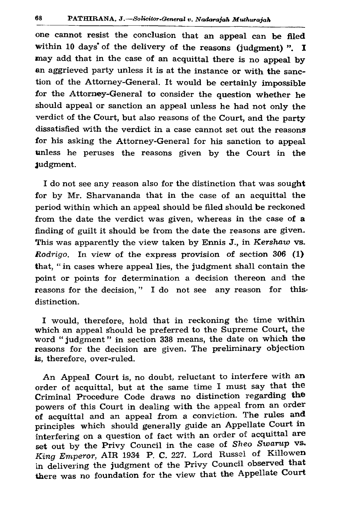one cannot resist the conclusion that an appeal can be filed within 10 days of the delivery of the reasons (judgment) ".  $I$ may add that in the case of an acquittal there is no appeal by an aggrieved party unless it is at the instance or with the sanction of the Attorney-General. It would be certainly impossible for the Attorney-General to consider the question whether he should appeal or sanction an appeal unless he had not only the verdict of the Court, but also reasons of the Court, and the party dissatisfied with the verdict in a case cannot set out the reasons for his asking the Attorney-General for his sanction to appeal unless he peruses the reasons given by the Court in the Judgment.

I do not see any reason also for the distinction that was sought for by Mr. Sharvananda that in the case of an acquittal the period within which an appeal should be filed should be reckoned from the date the verdict was given, whereas in the case of a finding of guilt it should be from the date the reasons are given. This was apparently the view taken by Ennis J., in *Kershaw* vs. *Rodrigo.* In view of the express provision of section 306 (1) that, " in cases where appeal lies, the judgment shall contain the point or points for determination a decision thereon and the reasons for the decision," I do not see any reason for thisdistinction.

I would, therefore, hold that in reckoning the time within which an appeal Should be preferred to the Supreme Court, the word "judgment" in section 338 means, the date on which the reasons for the decision are given. The preliminary objection is, therefore, over-ruled.

An Appeal Court is, no doubt, reluctant to interfere with an order of acquittal, but at the same time I must say that the Criminal Procedure Code draws no distinction regarding the powers of this Court in dealing with the appeal from an order of acquittal and an appeal from a conviction. The rules and principles which should generally guide an Appellate Court in interfering on a question of fact with an order of acquittal are set out by the Privy Council in the case of *Sheo Swarup* vs. *King Emperor, AIR 1934 P. C. 227. Lord Russel of Killowen* in delivering the judgment of the Privy Council observed that there was no foundation for the view that the Appellate Court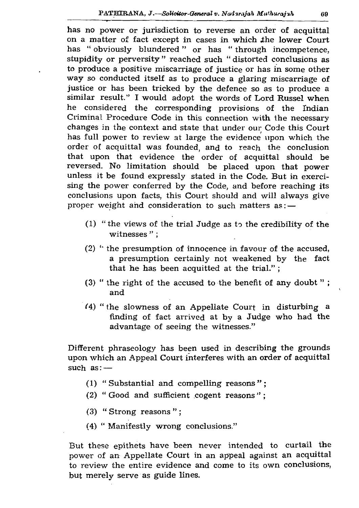has no power or jurisdiction to reverse an order of acquittal on a matter of fact except in cases in which the lower Court has " obviously blundered " or has " through incompetence, stupidity or perversity " reached such " distorted conclusions as to produce a positive miscarriage of justice or has in some other way so conducted itself as to produce a glaring miscarriage of justice or has been tricked by the defence so as to produce a similar result." I would adopt the words of Lord Russel when he considered the corresponding provisions of the Indian Criminal Procedure Code in this connection with the necessary changes in the context and state that under our Code this Court has full power to review at large the evidence upon which the order of acquittal was founded, and to reach the conclusion that upon that evidence the order of acquittal should be reversed. No limitation should be placed upon that power unless it be found expressly stated in the Code. But in exercising the power conferred by the Code, and before reaching its conclusions upon facts, this Court should and will always give proper weight and consideration to such matters as: —

- (1) " the views of the trial Judge as to the credibility of the witnesses";
- (2) " the presumption of innocence in favour of the accused, a presumption certainly not weakened by the fact that he has been acquitted at the trial." ;
- (3) " the right of the accused to the benefit of any doubt " ; and
- (4) "the slowness of an Appellate Court in disturbing a finding of fact arrived at by a Judge who had the advantage of seeing the witnesses."

Different phraseology has been used in describing the grounds upon which an Appeal Court interferes with an order of acquittal such as: -

- (1) "Substantial and compelling reasons";
- (2) " Good and sufficient cogent reasons";
- (3) *"* Strong reasons " ;
- (4) " Manifestly wrong conclusions."

But these epithets have been never intended to curtail the power of an Appellate Court in an appeal against an acquittal to review the entire evidence and come to its own conclusions, but merely serve as guide lines.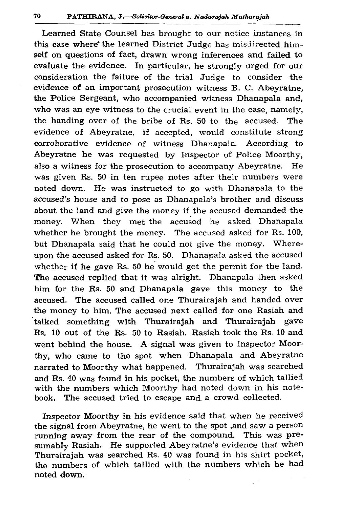Learned State Counsel has brought to our notice instances in this case where\* the learned District Judge has misdirected him self on questions of fact, drawn wrong inferences and failed to evaluate the evidence. In particular, he strongly urged for our consideration the failure of the trial Judge to consider the evidence of an important prosecution witness B. C. Abeyratne, the Police Sergeant, who accompanied witness Dhanapala and, who was an eye witness to the crucial event in the case, namely, the handing over of the bribe of  $R_s$ . 50 to the accused. The evidence of Abeyratne, if accepted, would constitute strong corroborative evidence of witness Dhanapala. According to Abeyratne he was requested by Inspector of Police Moorthy, also a witness for the prosecution to accompany Abeyratne. He was given Rs. 50 in ten rupee notes after their numbers were noted down. He was instructed to go with Dhanapala to the accused's house and to pose as Dhanapala's brother and discuss about the land and give the money if the accused demanded the money. When they met the accused he asked Dhanapala whether he brought the money. The accused asked for Rs. 100, but Dhanapala said that he could not give the money. Whereupon the accused asked for Rs. 50. Dhanapala asked the accused whether if he gave Rs. 50 he would get the permit for the land. The accused replied that it was alright. Dhanapala then asked him for the Rs. 50 and Dhanapala gave this money to the accused. The accused called one Thurairajah and handed over the money to him. The accused next called for one Rasiah and talked something with Thurairajah and Thurairajah gave Rs. 10 out of the Rs. 50 to Rasiah. Rasiah took the Rs. 10 and went behind the house. A signal was given to Inspector Moorthy, who came to the spot when Dhanapala and Abeyratne narrated to Moorthy what happened. Thurairajah was searched and Rs. 40 was found in his pocket, the numbers of which tallied with the numbers which Moorthy had noted down in his notebook. The accused tried to escape and a crowd collected.

Inspector Moorthy in his evidence said that when he received the signal from Abeyratne, he went to the spot ,and saw a person running away from the rear of the compound. This was presumably Rasiah. He supported Abeyratne's evidence that when Thurairajah was searched Rs. 40 was found in his shirt pocket, the numbers of which tallied with the numbers which he had noted down.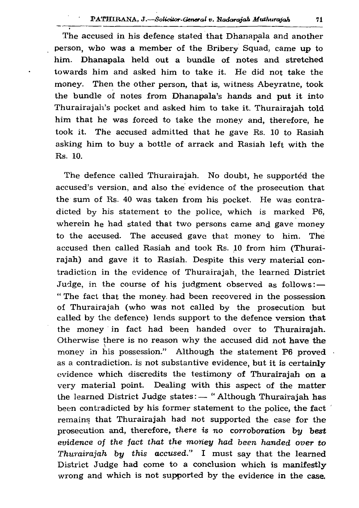The accused in his defence stated that Dhanapala and another \* person, who was a member of the Bribery Squad, came up to him. Dhanapala held out a bundle of notes and stretched towards him and asked him to take it. He did not take the money. Then the other person, that is, witness Abeyratne, took the bundle of notes from Dhanapala's hands and put it into Thurairajah's pocket and asked him to take it. Thurairajah told him that he was forced to take the money and, therefore, he took it. The accused admitted that he gave Rs. 10 to Rasiah asking him to buy a bottle of arrack and Rasiah left with the Rs. 10.

The defence called Thurairajah. No doubt, he supported the accused's version, and also the evidence of the prosecution that the sum of Rs. 40 was taken from his pocket. He was contradicted by his statement to the police, which is marked P6, wherein he had stated that two persons came and gave money to the accused. The accused gave that money to him. The accused then called Rasiah and took Rs. 10 from him (Thurairajah) and gave it to Rasiah. Despite this very material contradiction in the evidence of Thurairajah, the learned District Judge, in the course of his judgment observed as follows: $-$ " The fact that the money, had been recovered in the possession of Thurairajah (who was not called by the prosecution but called by the defence) lends support to the defence version that the money in fact had been handed over to Thurairajah. Otherwise there is no reason why the accused did not have the money in his possession." Although the statement P6 proved as a contradiction, is not substantive evidence, but it is certainly evidence which discredits the testimony of Thurairajah on a very material point. Dealing with this aspect of the matter the learned District Judge states:— " Although Thurairajah has been contradicted by his former statement to the police, the fact remains that Thurairajah had not supported the case for the prosecution and, therefore, there is no corroboration by best *evidence of the fact that the money had been handed over to Thurairajah bu this accused.*" I must say that the learned District Judge had come to a conclusion which is manifestly wrong and which is not supported by the evidence in the case.